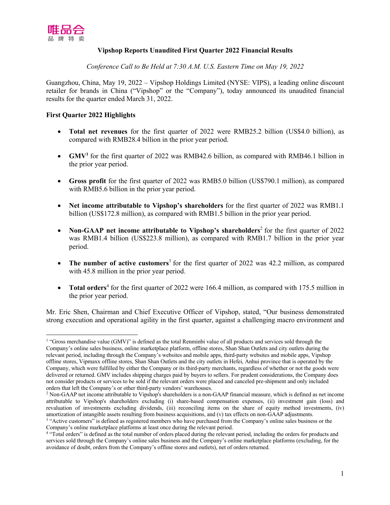

## **Vipshop Reports Unaudited First Quarter 2022 Financial Results**

*Conference Call to Be Held at 7:30 A.M. U.S. Eastern Time on May 19, 2022*

Guangzhou, China, May 19, 2022 – Vipshop Holdings Limited (NYSE: VIPS), a leading online discount retailer for brands in China ("Vipshop" or the "Company"), today announced its unaudited financial results for the quarter ended March 31, 2022.

## **First Quarter 2022 Highlights**

- **Total net revenues** for the first quarter of 2022 were RMB25.2 billion (US\$4.0 billion), as compared with RMB28.4 billion in the prior year period.
- **GMV<sup>1</sup>** for the first quarter of 2022 was RMB42.6 billion, as compared with RMB46.1 billion in the prior year period.
- **Gross profit** for the first quarter of 2022 was RMB5.0 billion (US\$790.1 million), as compared with RMB5.6 billion in the prior year period.
- **Net income attributable to Vipshop's shareholders** for the first quarter of 2022 was RMB1.1 billion (US\$172.8 million), as compared with RMB1.5 billion in the prior year period.
- **Non-GAAP** net income attributable to Vipshop's shareholders<sup>2</sup> for the first quarter of 2022 was RMB1.4 billion (US\$223.8 million), as compared with RMB1.7 billion in the prior year period.
- The number of active customers<sup>3</sup> for the first quarter of 2022 was 42.2 million, as compared with 45.8 million in the prior year period.
- **Total orders**<sup>4</sup> for the first quarter of 2022 were 166.4 million, as compared with 175.5 million in the prior year period.

Mr. Eric Shen, Chairman and Chief Executive Officer of Vipshop, stated, "Our business demonstrated strong execution and operational agility in the first quarter, against a challenging macro environment and

<sup>&</sup>lt;sup>1</sup> "Gross merchandise value (GMV)" is defined as the total Renminbi value of all products and services sold through the Company's online sales business, online marketplace platform, offline stores, Shan Shan Outlets and city outlets during the relevant period, including through the Company's websites and mobile apps, third-party websites and mobile apps, Vipshop offline stores, Vipmaxx offline stores, Shan Shan Outlets and the city outlets in Hefei, Anhui province that is operated by the Company, which were fulfilled by either the Company or its third-party merchants, regardless of whether or not the goods were delivered or returned. GMV includes shipping charges paid by buyers to sellers. For prudent considerations, the Company does not consider products or services to be sold if the relevant orders were placed and canceled pre-shipment and only included orders that left the Company's or other third-party vendors' warehouses.

<sup>2</sup> Non-GAAP net income attributable to Vipshop's shareholders is a non-GAAP financial measure, which is defined as net income attributable to Vipshop's shareholders excluding (i) share-based compensation expenses, (ii) investment gain (loss) and revaluation of investments excluding dividends, (iii) reconciling items on the share of equity method investments, (iv) amortization of intangible assets resulting from business acquisitions, and (v) tax effects on non-GAAP adjustments.

<sup>&</sup>lt;sup>3</sup> "Active customers" is defined as registered members who have purchased from the Company's online sales business or the Company's online marketplace platforms at least once during the relevant period.

<sup>4</sup> "Total orders" is defined as the total number of orders placed during the relevant period, including the orders for products and services sold through the Company's online sales business and the Company's online marketplace platforms (excluding, for the avoidance of doubt, orders from the Company's offline stores and outlets), net of orders returned.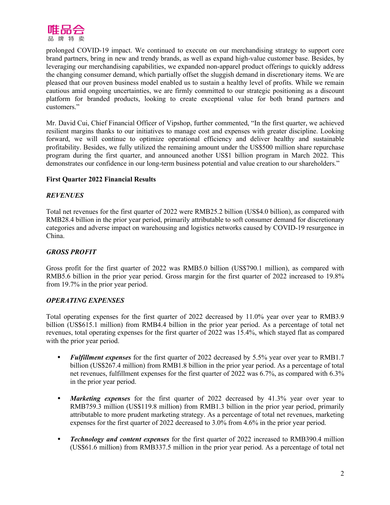

prolonged COVID-19 impact. We continued to execute on our merchandising strategy to support core brand partners, bring in new and trendy brands, as well as expand high-value customer base. Besides, by leveraging our merchandising capabilities, we expanded non-apparel product offerings to quickly address the changing consumer demand, which partially offset the sluggish demand in discretionary items. We are pleased that our proven business model enabled us to sustain a healthy level of profits. While we remain cautious amid ongoing uncertainties, we are firmly committed to our strategic positioning as a discount platform for branded products, looking to create exceptional value for both brand partners and customers."

Mr. David Cui, Chief Financial Officer of Vipshop, further commented, "In the first quarter, we achieved resilient margins thanks to our initiatives to manage cost and expenses with greater discipline. Looking forward, we will continue to optimize operational efficiency and deliver healthy and sustainable profitability. Besides, we fully utilized the remaining amount under the US\$500 million share repurchase program during the first quarter, and announced another US\$1 billion program in March 2022. This demonstrates our confidence in our long-term business potential and value creation to our shareholders."

## **First Quarter 2022 Financial Results**

## *REVENUES*

Total net revenues for the first quarter of 2022 were RMB25.2 billion (US\$4.0 billion), as compared with RMB28.4 billion in the prior year period, primarily attributable to soft consumer demand for discretionary categories and adverse impact on warehousing and logistics networks caused by COVID-19 resurgence in China.

## *GROSS PROFIT*

Gross profit for the first quarter of 2022 was RMB5.0 billion (US\$790.1 million), as compared with RMB5.6 billion in the prior year period. Gross margin for the first quarter of 2022 increased to 19.8% from 19.7% in the prior year period.

## *OPERATING EXPENSES*

Total operating expenses for the first quarter of 2022 decreased by 11.0% year over year to RMB3.9 billion (US\$615.1 million) from RMB4.4 billion in the prior year period. As a percentage of total net revenues, total operating expenses for the first quarter of 2022 was 15.4%, which stayed flat as compared with the prior year period.

- **•** *Fulfillment expenses* for the first quarter of 2022 decreased by 5.5% year over year to RMB1.7 billion (US\$267.4 million) from RMB1.8 billion in the prior year period. As a percentage of total net revenues, fulfillment expenses for the first quarter of 2022 was 6.7%, as compared with 6.3% in the prior year period.
- *Marketing expenses* for the first quarter of 2022 decreased by 41.3% year over year to RMB759.3 million (US\$119.8 million) from RMB1.3 billion in the prior year period, primarily attributable to more prudent marketing strategy. As a percentage of total net revenues, marketing expenses for the first quarter of 2022 decreased to 3.0% from 4.6% in the prior year period.
- *• Technology and content expenses* for the first quarter of 2022 increased to RMB390.4 million (US\$61.6 million) from RMB337.5 million in the prior year period. As a percentage of total net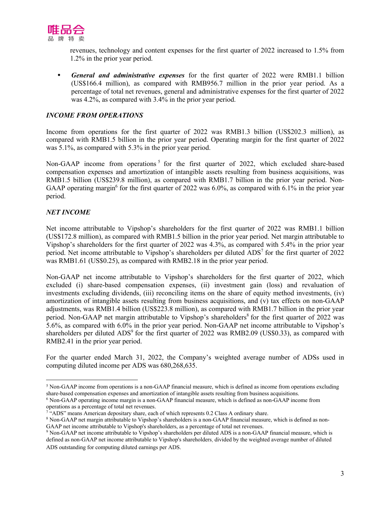

revenues, technology and content expenses for the first quarter of 2022 increased to 1.5% from 1.2% in the prior year period.

*• General and administrative expenses* for the first quarter of 2022 were RMB1.1 billion (US\$166.4 million), as compared with RMB956.7 million in the prior year period. As a percentage of total net revenues, general and administrative expenses for the first quarter of 2022 was 4.2%, as compared with 3.4% in the prior year period.

# *INCOME FROM OPERATIONS*

Income from operations for the first quarter of 2022 was RMB1.3 billion (US\$202.3 million), as compared with RMB1.5 billion in the prior year period. Operating margin for the first quarter of 2022 was 5.1%, as compared with 5.3% in the prior year period.

Non-GAAP income from operations<sup>5</sup> for the first quarter of 2022, which excluded share-based compensation expenses and amortization of intangible assets resulting from business acquisitions, was RMB1.5 billion (US\$239.8 million), as compared with RMB1.7 billion in the prior year period. Non-GAAP operating margin<sup>6</sup> for the first quarter of 2022 was 6.0%, as compared with 6.1% in the prior year period.

## *NET INCOME*

Net income attributable to Vipshop's shareholders for the first quarter of 2022 was RMB1.1 billion (US\$172.8 million), as compared with RMB1.5 billion in the prior year period. Net margin attributable to Vipshop's shareholders for the first quarter of 2022 was 4.3%, as compared with 5.4% in the prior year period. Net income attributable to Vipshop's shareholders per diluted ADS<sup>7</sup> for the first quarter of 2022 was RMB1.61 (US\$0.25), as compared with RMB2.18 in the prior year period.

Non-GAAP net income attributable to Vipshop's shareholders for the first quarter of 2022, which excluded (i) share-based compensation expenses, (ii) investment gain (loss) and revaluation of investments excluding dividends, (iii) reconciling items on the share of equity method investments, (iv) amortization of intangible assets resulting from business acquisitions, and (v) tax effects on non-GAAP adjustments, was RMB1.4 billion (US\$223.8 million), as compared with RMB1.7 billion in the prior year period. Non-GAAP net margin attributable to Vipshop's shareholders<sup>8</sup> for the first quarter of 2022 was 5.6%, as compared with 6.0% in the prior year period. Non-GAAP net income attributable to Vipshop's shareholders per diluted  $ADS<sup>9</sup>$  for the first quarter of 2022 was RMB2.09 (US\$0.33), as compared with RMB2.41 in the prior year period.

For the quarter ended March 31, 2022, the Company's weighted average number of ADSs used in computing diluted income per ADS was 680,268,635.

<sup>6</sup> Non-GAAP operating income margin is a non-GAAP financial measure, which is defined as non-GAAP income from operations as a percentage of total net revenues.

<sup>5</sup> Non-GAAP income from operations is a non-GAAP financial measure, which is defined as income from operations excluding share-based compensation expenses and amortization of intangible assets resulting from business acquisitions.

<sup>&</sup>lt;sup>7</sup> "ADS" means American depositary share, each of which represents 0.2 Class A ordinary share.

<sup>8</sup> Non-GAAP net margin attributable to Vipshop's shareholders is a non-GAAP financial measure, which is defined as non-GAAP net income attributable to Vipshop's shareholders, as a percentage of total net revenues.

<sup>&</sup>lt;sup>9</sup> Non-GAAP net income attributable to Vipshop's shareholders per diluted ADS is a non-GAAP financial measure, which is defined as non-GAAP net income attributable to Vipshop's shareholders, divided by the weighted average number of diluted ADS outstanding for computing diluted earnings per ADS.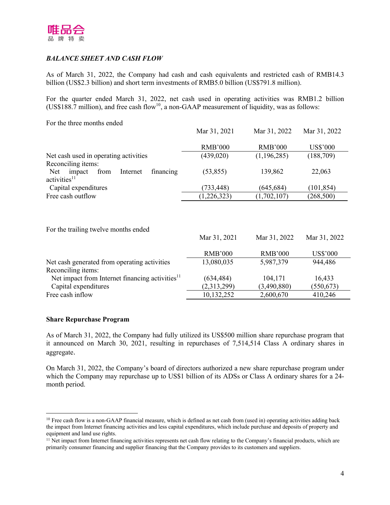

# *BALANCE SHEET AND CASH FLOW*

As of March 31, 2022, the Company had cash and cash equivalents and restricted cash of RMB14.3 billion (US\$2.3 billion) and short term investments of RMB5.0 billion (US\$791.8 million).

For the quarter ended March 31, 2022, net cash used in operating activities was RMB1.2 billion  $(US$188.\overline{7}$$  million), and free cash flow<sup>10</sup>, a non-GAAP measurement of liquidity, was as follows:

Mar 31, 2021

Mar 31, 2022

Mar 31, 2022

For the three months ended

|                                                | Mar 31, 2021   | Mar 31, 2022   | Mar 31, 2022 |
|------------------------------------------------|----------------|----------------|--------------|
|                                                | <b>RMB'000</b> | <b>RMB'000</b> | US\$'000     |
|                                                |                |                |              |
| Net cash used in operating activities          | (439, 020)     | (1,196,285)    | (188,709)    |
| Reconciling items:                             |                |                |              |
| financing<br>Net<br>impact<br>Internet<br>from | (53, 855)      | 139,862        | 22,063       |
| activities <sup>11</sup>                       |                |                |              |
| Capital expenditures                           | (733, 448)     | (645, 684)     | (101, 854)   |
| Free cash outflow                              | (1,226,323)    | (1,702,107)    | (268, 500)   |

For the trailing twelve months ended

|                                                             | <b>RMB'000</b> | <b>RMB'000</b> | US\$'000   |
|-------------------------------------------------------------|----------------|----------------|------------|
| Net cash generated from operating activities                | 13,080,035     | 5,987,379      | 944,486    |
| Reconciling items:                                          |                |                |            |
| Net impact from Internet financing activities <sup>11</sup> | (634, 484)     | 104,171        | 16,433     |
| Capital expenditures                                        | (2,313,299)    | (3,490,880)    | (550, 673) |
| Free cash inflow                                            | 10,132,252     | 2,600,670      | 410,246    |

#### **Share Repurchase Program**

As of March 31, 2022, the Company had fully utilized its US\$500 million share repurchase program that it announced on March 30, 2021, resulting in repurchases of 7,514,514 Class A ordinary shares in aggregate.

On March 31, 2022, the Company's board of directors authorized a new share repurchase program under which the Company may repurchase up to US\$1 billion of its ADSs or Class A ordinary shares for a 24 month period.

 $10$  Free cash flow is a non-GAAP financial measure, which is defined as net cash from (used in) operating activities adding back the impact from Internet financing activities and less capital expenditures, which include purchase and deposits of property and equipment and land use rights.

<sup>&</sup>lt;sup>11</sup> Net impact from Internet financing activities represents net cash flow relating to the Company's financial products, which are primarily consumer financing and supplier financing that the Company provides to its customers and suppliers.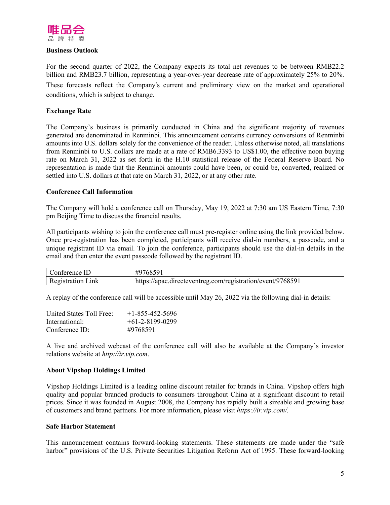

#### **Business Outlook**

For the second quarter of 2022, the Company expects its total net revenues to be between RMB22.2 billion and RMB23.7 billion, representing a year-over-year decrease rate of approximately 25% to 20%. These forecasts reflect the Company's current and preliminary view on the market and operational conditions, which is subject to change.

## **Exchange Rate**

The Company's business is primarily conducted in China and the significant majority of revenues generated are denominated in Renminbi. This announcement contains currency conversions of Renminbi amounts into U.S. dollars solely for the convenience of the reader. Unless otherwise noted, all translations from Renminbi to U.S. dollars are made at a rate of RMB6.3393 to US\$1.00, the effective noon buying rate on March 31, 2022 as set forth in the H.10 statistical release of the Federal Reserve Board. No representation is made that the Renminbi amounts could have been, or could be, converted, realized or settled into U.S. dollars at that rate on March 31, 2022, or at any other rate.

#### **Conference Call Information**

The Company will hold a conference call on Thursday, May 19, 2022 at 7:30 am US Eastern Time, 7:30 pm Beijing Time to discuss the financial results.

All participants wishing to join the conference call must pre-register online using the link provided below. Once pre-registration has been completed, participants will receive dial-in numbers, a passcode, and a unique registrant ID via email. To join the conference, participants should use the dial-in details in the email and then enter the event passcode followed by the registrant ID.

| n۳                                        | $\cap$ $\sim$ $\cap$                                                |
|-------------------------------------------|---------------------------------------------------------------------|
| erence                                    | ĦС                                                                  |
| $ \cdot$<br>1nk<br>ation.<br>-1Str<br>17C | /976859<br>//apac.directeventreg.com/registration/event/<br>https:/ |

A replay of the conference call will be accessible until May 26, 2022 via the following dial-in details:

| United States Toll Free: | $+1-855-452-5696$ |
|--------------------------|-------------------|
| International:           | $+61-2-8199-0299$ |
| $Conference$ ID:         | #9768591          |

A live and archived webcast of the conference call will also be available at the Company's investor relations website at *http://ir.vip.com*.

## **About Vipshop Holdings Limited**

Vipshop Holdings Limited is a leading online discount retailer for brands in China. Vipshop offers high quality and popular branded products to consumers throughout China at a significant discount to retail prices. Since it was founded in August 2008, the Company has rapidly built a sizeable and growing base of customers and brand partners. For more information, please visit *https://ir.vip.com/.*

#### **Safe Harbor Statement**

This announcement contains forward-looking statements. These statements are made under the "safe harbor" provisions of the U.S. Private Securities Litigation Reform Act of 1995. These forward-looking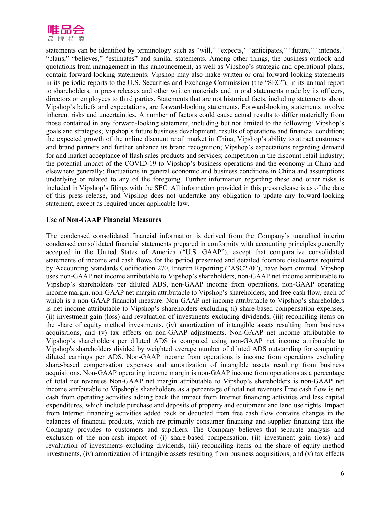

statements can be identified by terminology such as "will," "expects," "anticipates," "future," "intends," "plans," "believes," "estimates" and similar statements. Among other things, the business outlook and quotations from management in this announcement, as well as Vipshop's strategic and operational plans, contain forward-looking statements. Vipshop may also make written or oral forward-looking statements in its periodic reports to the U.S. Securities and Exchange Commission (the "SEC"), in its annual report to shareholders, in press releases and other written materials and in oral statements made by its officers, directors or employees to third parties. Statements that are not historical facts, including statements about Vipshop's beliefs and expectations, are forward-looking statements. Forward-looking statements involve inherent risks and uncertainties. A number of factors could cause actual results to differ materially from those contained in any forward-looking statement, including but not limited to the following: Vipshop's goals and strategies; Vipshop's future business development, results of operations and financial condition; the expected growth of the online discount retail market in China; Vipshop's ability to attract customers and brand partners and further enhance its brand recognition; Vipshop's expectations regarding demand for and market acceptance of flash sales products and services; competition in the discount retail industry; the potential impact of the COVID-19 to Vipshop's business operations and the economy in China and elsewhere generally; fluctuations in general economic and business conditions in China and assumptions underlying or related to any of the foregoing. Further information regarding these and other risks is included in Vipshop's filings with the SEC. All information provided in this press release is as of the date of this press release, and Vipshop does not undertake any obligation to update any forward-looking statement, except as required under applicable law.

#### **Use of Non-GAAP Financial Measures**

The condensed consolidated financial information is derived from the Company's unaudited interim condensed consolidated financial statements prepared in conformity with accounting principles generally accepted in the United States of America ("U.S. GAAP"), except that comparative consolidated statements of income and cash flows for the period presented and detailed footnote disclosures required by Accounting Standards Codification 270, Interim Reporting ("ASC270"), have been omitted. Vipshop uses non-GAAP net income attributable to Vipshop's shareholders, non-GAAP net income attributable to Vipshop's shareholders per diluted ADS, non-GAAP income from operations, non-GAAP operating income margin, non-GAAP net margin attributable to Vipshop's shareholders, and free cash flow, each of which is a non-GAAP financial measure. Non-GAAP net income attributable to Vipshop's shareholders is net income attributable to Vipshop's shareholders excluding (i) share-based compensation expenses, (ii) investment gain (loss) and revaluation of investments excluding dividends, (iii) reconciling items on the share of equity method investments, (iv) amortization of intangible assets resulting from business acquisitions, and (v) tax effects on non-GAAP adjustments. Non-GAAP net income attributable to Vipshop's shareholders per diluted ADS is computed using non-GAAP net income attributable to Vipshop's shareholders divided by weighted average number of diluted ADS outstanding for computing diluted earnings per ADS. Non-GAAP income from operations is income from operations excluding share-based compensation expenses and amortization of intangible assets resulting from business acquisitions. Non-GAAP operating income margin is non-GAAP income from operations as a percentage of total net revenues Non-GAAP net margin attributable to Vipshop's shareholders is non-GAAP net income attributable to Vipshop's shareholders as a percentage of total net revenues Free cash flow is net cash from operating activities adding back the impact from Internet financing activities and less capital expenditures, which include purchase and deposits of property and equipment and land use rights. Impact from Internet financing activities added back or deducted from free cash flow contains changes in the balances of financial products, which are primarily consumer financing and supplier financing that the Company provides to customers and suppliers. The Company believes that separate analysis and exclusion of the non-cash impact of (i) share-based compensation, (ii) investment gain (loss) and revaluation of investments excluding dividends, (iii) reconciling items on the share of equity method investments, (iv) amortization of intangible assets resulting from business acquisitions, and (v) tax effects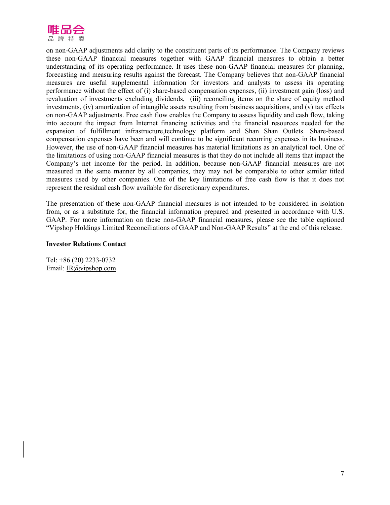

on non-GAAP adjustments add clarity to the constituent parts of its performance. The Company reviews these non-GAAP financial measures together with GAAP financial measures to obtain a better understanding of its operating performance. It uses these non-GAAP financial measures for planning, forecasting and measuring results against the forecast. The Company believes that non-GAAP financial measures are useful supplemental information for investors and analysts to assess its operating performance without the effect of (i) share-based compensation expenses, (ii) investment gain (loss) and revaluation of investments excluding dividends, (iii) reconciling items on the share of equity method investments, (iv) amortization of intangible assets resulting from business acquisitions, and (v) tax effects on non-GAAP adjustments. Free cash flow enables the Company to assess liquidity and cash flow, taking into account the impact from Internet financing activities and the financial resources needed for the expansion of fulfillment infrastructure,technology platform and Shan Shan Outlets. Share-based compensation expenses have been and will continue to be significant recurring expenses in its business. However, the use of non-GAAP financial measures has material limitations as an analytical tool. One of the limitations of using non-GAAP financial measures is that they do not include all items that impact the Company's net income for the period. In addition, because non-GAAP financial measures are not measured in the same manner by all companies, they may not be comparable to other similar titled measures used by other companies. One of the key limitations of free cash flow is that it does not represent the residual cash flow available for discretionary expenditures.

The presentation of these non-GAAP financial measures is not intended to be considered in isolation from, or as a substitute for, the financial information prepared and presented in accordance with U.S. GAAP. For more information on these non-GAAP financial measures, please see the table captioned "Vipshop Holdings Limited Reconciliations of GAAP and Non-GAAP Results" at the end of this release.

#### **Investor Relations Contact**

Tel: +86 (20) 2233-0732 Email: IR@vipshop.com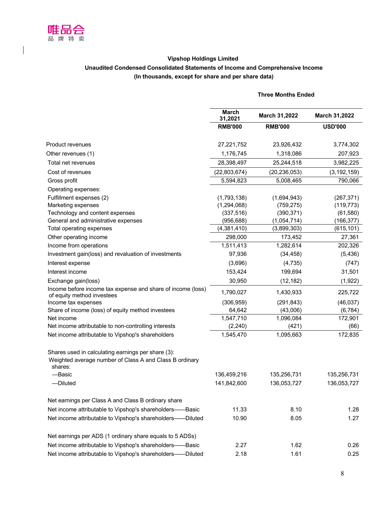

## **Vipshop Holdings Limited Unaudited Condensed Consolidated Statements of Income and Comprehensive Income (In thousands, except for share and per share data)**

# **Three Months Ended March**<br>**31,2021 31,2021 March 31,2022 March 31,2022 RMB'000 RMB'000 USD'000** Product revenues 27,221,752 23,926,432 3,774,302 Other revenues (1) 207,923 1,176,745 1,318,086 207,923 Total net revenues 28,398,497 25,244,518 3,982,225 Cost of revenues (22,803,674) (20,236,053) (3,192,159) Gross profit 5,594,823 5,008,465 790,066 Operating expenses: Fulfillment expenses (2) (1,793,138) (1,694,943) (267,371) Marketing expenses (1,294,068) (759,275) (119,773) Technology and content expenses (337,516) (390,371) (61,580) General and administrative expenses (956,688) (1,054,714) (166,377) Total operating expenses (4,381,410) (3,899,303) (615,101) Other operating income 298,000 173,452 27,361 Income from operations 1,511,413 1,282,614 202,326 Investment gain(loss) and revaluation of investments 97,936 (34,458) (5,436) Interest expense (3,696) (4,735) (747) Interest income 153,424 199,694 31,501 Exchange gain(loss) 30,950 (12,182) (1,922) Income before income tax expense and share of income (loss) Income before income tax expense and share of income (loss) <br>of equity method investees determined investees Income tax expenses (306,959) (291,843) (46,037) Share of income (loss) of equity method investees 64,642 (43,006) (6,784) Net income 1,547,710 1,096,084 172,901 Net income attributable to non-controlling interests (2,240) (421) (66) Net income attributable to Vipshop's shareholders 1,545,470 1,095,663 172,835 Shares used in calculating earnings per share (3): Weighted average number of Class A and Class B ordinary shares: —Basic 136,459,216 135,256,731 135,256,731 —Diluted 141,842,600 136,053,727 136,053,727 Net earnings per Class A and Class B ordinary share Net income attributable to Vipshop's shareholders——Basic 61.33 1.33 8.10 8.10 1.28 Net income attributable to Vipshop's shareholders——Diluted 10.90 8.05 8.05 1.27 Net earnings per ADS (1 ordinary share equals to 5 ADSs) Net income attributable to Vipshop's shareholders——Basic  $2.27$  1.62 0.26

Net income attributable to Vipshop's shareholders——Diluted  $2.18$  1.61 0.25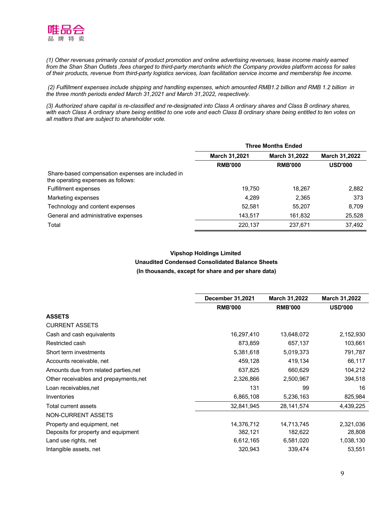

(1) Other revenues primarily consist of product promotion and online advertising revenues, lease income mainly earned from the Shan Shan Outlets , fees charged to third-party merchants which the Company provides platform access for sales of their products, revenue from third-party logistics services, loan facilitation service income and membership fee income.

(2) Fulfillment expenses include shipping and handling expenses, which amounted RMB1.2 billion and RMB 1.2 billion in *the three month periods ended March 31,2021 and March 31,2022, respectively.*

(3) Authorized share capital is re-classified and re-designated into Class A ordinary shares and Class B ordinary shares, with each Class A ordinary share being entitled to one vote and each Class B ordinary share being entitled to ten votes on *all matters that are subject to shareholder vote.*

|                                                                                         | <b>Three Months Ended</b> |                      |                      |
|-----------------------------------------------------------------------------------------|---------------------------|----------------------|----------------------|
|                                                                                         | <b>March 31,2021</b>      | <b>March 31,2022</b> | <b>March 31,2022</b> |
|                                                                                         | <b>RMB'000</b>            | <b>RMB'000</b>       | <b>USD'000</b>       |
| Share-based compensation expenses are included in<br>the operating expenses as follows: |                           |                      |                      |
| <b>Fulfillment expenses</b>                                                             | 19.750                    | 18,267               | 2,882                |
| Marketing expenses                                                                      | 4.289                     | 2,365                | 373                  |
| Technology and content expenses                                                         | 52.581                    | 55.207               | 8.709                |
| General and administrative expenses                                                     | 143,517                   | 161,832              | 25,528               |
| Total                                                                                   | 220,137                   | 237,671              | 37,492               |

# **Vipshop Holdings Limited Unaudited Condensed Consolidated Balance Sheets (In thousands, except for share and per share data)**

|                                        | <b>December 31,2021</b> | <b>March 31,2022</b> | <b>March 31,2022</b> |
|----------------------------------------|-------------------------|----------------------|----------------------|
|                                        | <b>RMB'000</b>          | <b>RMB'000</b>       | <b>USD'000</b>       |
| <b>ASSETS</b>                          |                         |                      |                      |
| <b>CURRENT ASSETS</b>                  |                         |                      |                      |
| Cash and cash equivalents              | 16,297,410              | 13,648,072           | 2,152,930            |
| Restricted cash                        | 873,859                 | 657,137              | 103,661              |
| Short term investments                 | 5,381,618               | 5,019,373            | 791,787              |
| Accounts receivable, net               | 459,128                 | 419,134              | 66,117               |
| Amounts due from related parties, net  | 637,825                 | 660,629              | 104,212              |
| Other receivables and prepayments, net | 2,326,866               | 2,500,967            | 394,518              |
| Loan receivables, net                  | 131                     | 99                   | 16                   |
| Inventories                            | 6,865,108               | 5,236,163            | 825,984              |
| Total current assets                   | 32,841,945              | 28,141,574           | 4,439,225            |
| NON-CURRENT ASSETS                     |                         |                      |                      |
| Property and equipment, net            | 14,376,712              | 14,713,745           | 2,321,036            |
| Deposits for property and equipment    | 382,121                 | 182,622              | 28,808               |
| Land use rights, net                   | 6,612,165               | 6,581,020            | 1,038,130            |
| Intangible assets, net                 | 320,943                 | 339,474              | 53,551               |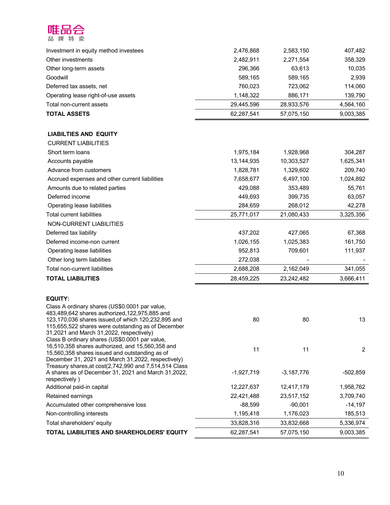

| Investment in equity method investees                                                                         | 2,476,868            | 2,583,150    | 407,482        |
|---------------------------------------------------------------------------------------------------------------|----------------------|--------------|----------------|
| Other investments                                                                                             | 2,482,911<br>296,366 | 2,271,554    | 358,329        |
| Other long-term assets                                                                                        |                      | 63,613       | 10,035         |
| Goodwill                                                                                                      | 589,165              | 589,165      | 2,939          |
| Deferred tax assets, net                                                                                      | 760,023              | 723,062      | 114,060        |
| Operating lease right-of-use assets                                                                           | 1,148,322            | 886,171      | 139,790        |
| Total non-current assets                                                                                      | 29,445,596           | 28,933,576   | 4,564,160      |
| <b>TOTAL ASSETS</b>                                                                                           | 62,287,541           | 57,075,150   | 9,003,385      |
| <b>LIABILTIES AND EQUITY</b>                                                                                  |                      |              |                |
| <b>CURRENT LIABILITIES</b>                                                                                    |                      |              |                |
| Short term loans                                                                                              | 1,975,184            | 1,928,968    | 304,287        |
| Accounts payable                                                                                              | 13,144,935           | 10,303,527   | 1,625,341      |
| Advance from customers                                                                                        | 1,828,781            | 1,329,602    | 209,740        |
| Accrued expenses and other current liabilities                                                                | 7,658,677            | 6,497,100    | 1,024,892      |
| Amounts due to related parties                                                                                | 429,088              | 353,489      | 55,761         |
| Deferred income                                                                                               | 449,693              | 399,735      | 63,057         |
| Operating lease liabilities                                                                                   | 284,659              | 268,012      | 42,278         |
| <b>Total current liabilities</b>                                                                              | 25,771,017           | 21,080,433   | 3,325,356      |
| NON-CURRENT LIABILITIES                                                                                       |                      |              |                |
| Deferred tax liability                                                                                        | 437,202              | 427,065      | 67,368         |
| Deferred income-non current                                                                                   | 1,026,155            | 1,025,383    | 161,750        |
| Operating lease liabilities                                                                                   | 952,813              | 709,601      | 111,937        |
| Other long term liabilities                                                                                   | 272,038              |              |                |
| Total non-current liabilities                                                                                 | 2,688,208            | 2,162,049    | 341,055        |
| <b>TOTAL LIABILITIES</b>                                                                                      | 28,459,225           | 23,242,482   | 3,666,411      |
|                                                                                                               |                      |              |                |
| <b>EQUITY:</b>                                                                                                |                      |              |                |
| Class A ordinary shares (US\$0.0001 par value,<br>483,489,642 shares authorized, 122,975,885 and              |                      |              |                |
| 123,170,036 shares issued, of which 120,232,895 and                                                           | 80                   | 80           | 13             |
| 115,655,522 shares were outstanding as of December<br>31,2021 and March 31,2022, respectively)                |                      |              |                |
| Class B ordinary shares (US\$0.0001 par value,                                                                |                      |              |                |
| 16,510,358 shares authorized, and 15,560,358 and                                                              | 11                   | 11           | $\overline{2}$ |
| 15,560,358 shares issued and outstanding as of                                                                |                      |              |                |
| December 31, 2021 and March 31, 2022, respectively)<br>Treasury shares, at cost(2,742,990 and 7,514,514 Class |                      |              |                |
| A shares as of December 31, 2021 and March 31,2022,                                                           | $-1,927,719$         | $-3,187,776$ | $-502,859$     |
| respectively)                                                                                                 |                      |              |                |
| Additional paid-in capital                                                                                    | 12,227,637           | 12,417,179   | 1,958,762      |
| Retained earnings                                                                                             | 22,421,488           | 23,517,152   | 3,709,740      |
| Accumulated other comprehensive loss                                                                          | $-88,599$            | $-90,001$    | $-14,197$      |
| Non-controlling interests                                                                                     | 1,195,418            | 1,176,023    | 185,513        |
| Total shareholders' equity                                                                                    | 33,828,316           | 33,832,668   | 5,336,974      |
| TOTAL LIABILITIES AND SHAREHOLDERS' EQUITY                                                                    | 62,287,541           | 57,075,150   | 9,003,385      |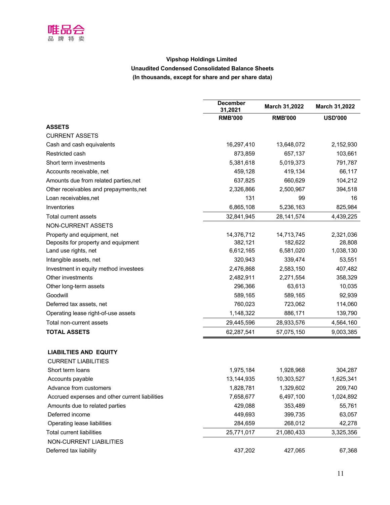

# **Vipshop Holdings Limited Unaudited Condensed Consolidated Balance Sheets (In thousands, except for share and per share data)**

|                                                | <b>December</b><br>31,2021 | March 31,2022  | <b>March 31,2022</b> |
|------------------------------------------------|----------------------------|----------------|----------------------|
|                                                | <b>RMB'000</b>             | <b>RMB'000</b> | <b>USD'000</b>       |
| <b>ASSETS</b>                                  |                            |                |                      |
| <b>CURRENT ASSETS</b>                          |                            |                |                      |
| Cash and cash equivalents                      | 16,297,410                 | 13,648,072     | 2,152,930            |
| Restricted cash                                | 873,859                    | 657,137        | 103,661              |
| Short term investments                         | 5,381,618                  | 5,019,373      | 791,787              |
| Accounts receivable, net                       | 459,128                    | 419,134        | 66,117               |
| Amounts due from related parties, net          | 637,825                    | 660,629        | 104,212              |
| Other receivables and prepayments, net         | 2,326,866                  | 2,500,967      | 394,518              |
| Loan receivables, net                          | 131                        | 99             | 16                   |
| Inventories                                    | 6,865,108                  | 5,236,163      | 825,984              |
| Total current assets                           | 32,841,945                 | 28, 141, 574   | 4,439,225            |
| NON-CURRENT ASSETS                             |                            |                |                      |
| Property and equipment, net                    | 14,376,712                 | 14,713,745     | 2,321,036            |
| Deposits for property and equipment            | 382,121                    | 182,622        | 28,808               |
| Land use rights, net                           | 6,612,165                  | 6,581,020      | 1,038,130            |
| Intangible assets, net                         | 320,943                    | 339,474        | 53,551               |
| Investment in equity method investees          | 2,476,868                  | 2,583,150      | 407,482              |
| Other investments                              | 2,482,911                  | 2,271,554      | 358,329              |
| Other long-term assets                         | 296,366                    | 63,613         | 10,035               |
| Goodwill                                       | 589,165                    | 589,165        | 92,939               |
| Deferred tax assets, net                       | 760,023                    | 723,062        | 114,060              |
| Operating lease right-of-use assets            | 1,148,322                  | 886,171        | 139,790              |
| Total non-current assets                       | 29,445,596                 | 28,933,576     | 4,564,160            |
| <b>TOTAL ASSETS</b>                            | 62,287,541                 | 57,075,150     | 9,003,385            |
| <b>LIABILTIES AND EQUITY</b>                   |                            |                |                      |
| <b>CURRENT LIABILITIES</b>                     |                            |                |                      |
| Short term loans                               | 1,975,184                  | 1,928,968      | 304,287              |
| Accounts payable                               | 13,144,935                 | 10,303,527     | 1,625,341            |
| Advance from customers                         | 1,828,781                  | 1,329,602      | 209,740              |
| Accrued expenses and other current liabilities | 7,658,677                  | 6,497,100      | 1,024,892            |
| Amounts due to related parties                 | 429,088                    | 353,489        | 55,761               |
| Deferred income                                | 449,693                    | 399,735        | 63,057               |
| Operating lease liabilities                    | 284,659                    | 268,012        | 42,278               |
| <b>Total current liabilities</b>               | 25,771,017                 | 21,080,433     | 3,325,356            |
| NON-CURRENT LIABILITIES                        |                            |                |                      |
| Deferred tax liability                         | 437,202                    | 427,065        | 67,368               |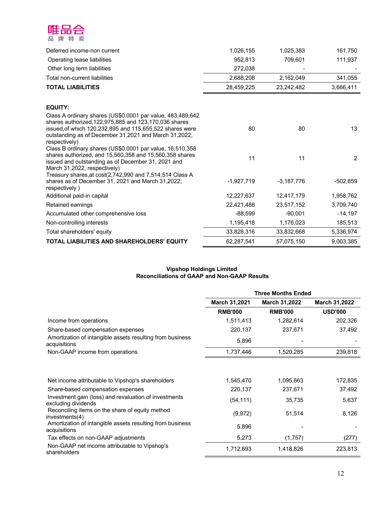

| Deferred income-non current                                                                                                                                                                                                                                       | 1,026,155    | 1,025,383    | 161,750    |
|-------------------------------------------------------------------------------------------------------------------------------------------------------------------------------------------------------------------------------------------------------------------|--------------|--------------|------------|
| Operating lease liabilities                                                                                                                                                                                                                                       | 952,813      | 709,601      | 111,937    |
| Other long term liabilities                                                                                                                                                                                                                                       | 272,038      |              |            |
| Total non-current liabilities                                                                                                                                                                                                                                     | 2,688,208    | 2,162,049    | 341,055    |
| <b>TOTAL LIABILITIES</b>                                                                                                                                                                                                                                          | 28,459,225   | 23,242,482   | 3,666,411  |
| <b>EQUITY:</b>                                                                                                                                                                                                                                                    |              |              |            |
| Class A ordinary shares (US\$0.0001 par value, 483,489,642<br>shares authorized, 122, 975, 885 and 123, 170, 036 shares<br>issued, of which 120, 232, 895 and 115, 655, 522 shares were<br>outstanding as of December 31,2021 and March 31,2022,<br>respectively) | 80           | 80           | 13         |
| Class B ordinary shares (US\$0.0001 par value, 16,510,358<br>shares authorized, and 15,560,358 and 15,560,358 shares<br>issued and outstanding as of December 31, 2021 and<br>March 31,2022, respectively)                                                        | 11           | 11           | 2          |
| Treasury shares, at cost(2,742,990 and 7,514,514 Class A<br>shares as of December 31, 2021 and March 31, 2022,<br>respectively)                                                                                                                                   | $-1,927,719$ | $-3,187,776$ | $-502,859$ |
| Additional paid-in capital                                                                                                                                                                                                                                        | 12,227,637   | 12,417,179   | 1,958,762  |
| Retained earnings                                                                                                                                                                                                                                                 | 22,421,488   | 23,517,152   | 3,709,740  |
| Accumulated other comprehensive loss                                                                                                                                                                                                                              | $-88,599$    | $-90,001$    | $-14,197$  |
| Non-controlling interests                                                                                                                                                                                                                                         | 1,195,418    | 1,176,023    | 185,513    |
| Total shareholders' equity                                                                                                                                                                                                                                        | 33,828,316   | 33,832,668   | 5,336,974  |
| TOTAL LIABILITIES AND SHAREHOLDERS' EQUITY                                                                                                                                                                                                                        | 62,287,541   | 57,075,150   | 9,003,385  |

#### **Vipshop Holdings Limited Reconciliations of GAAP and Non-GAAP Results**

|                                                                              | <b>Three Months Ended</b> |                      |                      |
|------------------------------------------------------------------------------|---------------------------|----------------------|----------------------|
|                                                                              | <b>March 31,2021</b>      | <b>March 31,2022</b> | <b>March 31,2022</b> |
|                                                                              | <b>RMB'000</b>            | <b>RMB'000</b>       | <b>USD'000</b>       |
| Income from operations                                                       | 1,511,413                 | 1,282,614            | 202,326              |
| Share-based compensation expenses                                            | 220,137                   | 237,671              | 37,492               |
| Amortization of intangible assets resulting from business<br>acquisitions    | 5,896                     |                      |                      |
| Non-GAAP income from operations                                              | 1,737,446                 | 1,520,285            | 239,818              |
| Net income attributable to Vipshop's shareholders                            | 1,545,470                 | 1,095,663            | 172,835              |
|                                                                              |                           |                      |                      |
| Share-based compensation expenses                                            | 220,137                   | 237,671              | 37,492               |
| Investment gain (loss) and revaluation of investments<br>excluding dividends | (54, 111)                 | 35,735               | 5,637                |
| Reconciling items on the share of equity method<br>investments(4)            | (9, 972)                  | 51,514               | 8,126                |
| Amortization of intangible assets resulting from business<br>acquisitions    | 5,896                     |                      |                      |
| Tax effects on non-GAAP adjustments                                          | 5,273                     | (1,757)              | (277)                |
| Non-GAAP net income attributable to Vipshop's<br>shareholders                | 1,712,693                 | 1,418,826            | 223,813              |